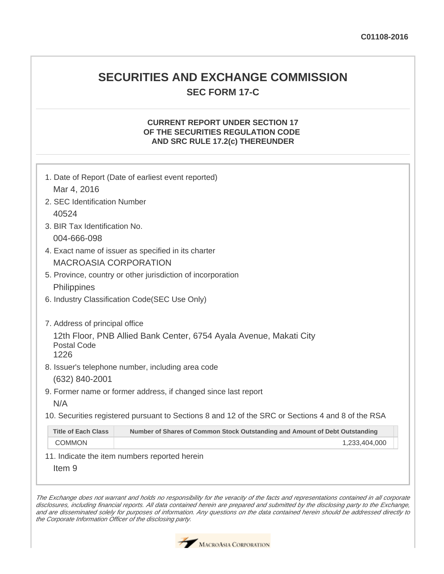## **SECURITIES AND EXCHANGE COMMISSION SEC FORM 17-C**

## **CURRENT REPORT UNDER SECTION 17 OF THE SECURITIES REGULATION CODE AND SRC RULE 17.2(c) THEREUNDER**

| 1. Date of Report (Date of earliest event reported) |                                                                                                   |  |
|-----------------------------------------------------|---------------------------------------------------------------------------------------------------|--|
|                                                     |                                                                                                   |  |
| Mar 4, 2016                                         |                                                                                                   |  |
| 2. SEC Identification Number                        |                                                                                                   |  |
| 40524                                               |                                                                                                   |  |
| 3. BIR Tax Identification No.                       |                                                                                                   |  |
| 004-666-098                                         |                                                                                                   |  |
|                                                     | 4. Exact name of issuer as specified in its charter                                               |  |
| <b>MACROASIA CORPORATION</b>                        |                                                                                                   |  |
|                                                     | 5. Province, country or other jurisdiction of incorporation                                       |  |
| Philippines                                         |                                                                                                   |  |
|                                                     | 6. Industry Classification Code(SEC Use Only)                                                     |  |
|                                                     |                                                                                                   |  |
| 7. Address of principal office                      |                                                                                                   |  |
|                                                     | 12th Floor, PNB Allied Bank Center, 6754 Ayala Avenue, Makati City                                |  |
| <b>Postal Code</b><br>1226                          |                                                                                                   |  |
|                                                     | 8. Issuer's telephone number, including area code                                                 |  |
| (632) 840-2001                                      |                                                                                                   |  |
|                                                     | 9. Former name or former address, if changed since last report                                    |  |
| N/A                                                 |                                                                                                   |  |
|                                                     | 10. Securities registered pursuant to Sections 8 and 12 of the SRC or Sections 4 and 8 of the RSA |  |
|                                                     |                                                                                                   |  |
| <b>Title of Each Class</b>                          | Number of Shares of Common Stock Outstanding and Amount of Debt Outstanding                       |  |
| <b>COMMON</b>                                       | 1,233,404,000                                                                                     |  |
|                                                     | 11. Indicate the item numbers reported herein                                                     |  |

Item 9

The Exchange does not warrant and holds no responsibility for the veracity of the facts and representations contained in all corporate disclosures, including financial reports. All data contained herein are prepared and submitted by the disclosing party to the Exchange, and are disseminated solely for purposes of information. Any questions on the data contained herein should be addressed directly to the Corporate Information Officer of the disclosing party.